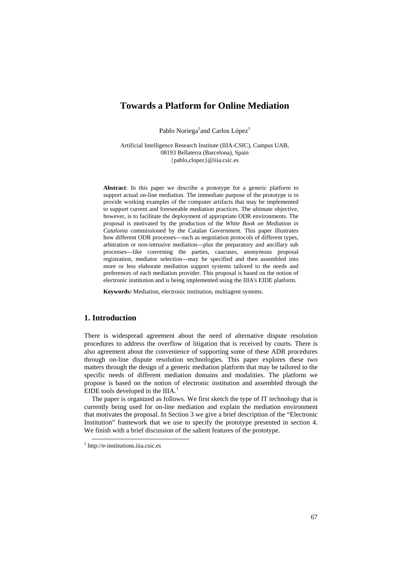# **Towards a Platform for Online Mediation**

Pablo Noriega<sup>1</sup> and Carlos López<sup>1</sup>

Artificial Intelligence Research Institute (IIIA-CSIC), Campus UAB, 08193 Bellaterra (Barcelona), Spain {pablo,clopez}@iiia.csic.es

**Abstract**: In this paper we describe a prototype for a generic platform to support actual on-line mediation. The immediate purpose of the prototype is to provide working examples of the computer artifacts that may be implemented to support current and foreseeable mediation practices. The ultimate objective, however, is to facilitate the deployment of appropriate ODR environments. The proposal is motivated by the production of the *White Book on Mediation in Catalonia* commissioned by the Catalan Government. This paper illustrates how different ODR processes—such as negotiation protocols of different types, arbitration or non-intrusive mediation—plus the preparatory and ancillary sub processes—like convening the parties, caucuses, anonymous proposal registration, mediator selection—may be specified and then assembled into more or less elaborate mediation support systems tailored to the needs and preferences of each mediation provider. This proposal is based on the notion of electronic institution and is being implemented using the IIIA's EIDE platform.

**Keywords:** Mediation, electronic institution, multiagent systems.

## **1. Introduction**

There is widespread agreement about the need of alternative dispute resolution procedures to address the overflow of litigation that is received by courts. There is also agreement about the convenience of supporting some of these ADR procedures through on-line dispute resolution technologies. This paper explores these two matters through the design of a generic mediation platform that may be tailored to the specific needs of different mediation domains and modalities. The platform we propose is based on the notion of electronic institution and assembled through the EIDE tools developed in the IIIA.<sup>[1](#page-0-0)</sup>

The paper is organized as follows. We first sketch the type of IT technology that is currently being used for on-line mediation and explain the mediation environment that motivates the proposal. In Section 3 we give a brief description of the "Electronic Institution" framework that we use to specify the prototype presented in section 4. We finish with a brief discussion of the salient features of the prototype.

<span id="page-0-0"></span> <sup>1</sup> http://e-institutions.iiia.csic.es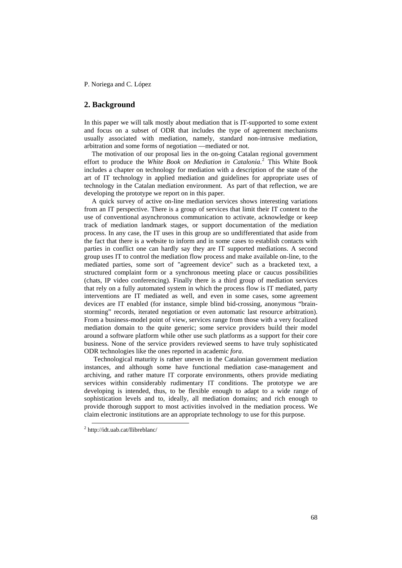### **2. Background**

In this paper we will talk mostly about mediation that is IT-supported to some extent and focus on a subset of ODR that includes the type of agreement mechanisms usually associated with mediation, namely, standard non-intrusive mediation, arbitration and some forms of negotiation —mediated or not.

The motivation of our proposal lies in the on-going Catalan regional government effort to produce the *White Book on Mediation in Catalonia*. [2](#page-1-0) This White Book includes a chapter on technology for mediation with a description of the state of the art of IT technology in applied mediation and guidelines for appropriate uses of technology in the Catalan mediation environment. As part of that reflection, we are developing the prototype we report on in this paper.

A quick survey of active on-line mediation services shows interesting variations from an IT perspective. There is a group of services that limit their IT content to the use of conventional asynchronous communication to activate, acknowledge or keep track of mediation landmark stages, or support documentation of the mediation process. In any case, the IT uses in this group are so undifferentiated that aside from the fact that there is a website to inform and in some cases to establish contacts with parties in conflict one can hardly say they are IT supported mediations. A second group uses IT to control the mediation flow process and make available on-line, to the mediated parties, some sort of "agreement device" such as a bracketed text, a structured complaint form or a synchronous meeting place or caucus possibilities (chats, IP video conferencing). Finally there is a third group of mediation services that rely on a fully automated system in which the process flow is IT mediated, party interventions are IT mediated as well, and even in some cases, some agreement devices are IT enabled (for instance, simple blind bid-crossing, anonymous "brainstorming" records, iterated negotiation or even automatic last resource arbitration). From a business-model point of view, services range from those with a very focalized mediation domain to the quite generic; some service providers build their model around a software platform while other use such platforms as a support for their core business. None of the service providers reviewed seems to have truly sophisticated ODR technologies like the ones reported in academic *fora*.

 Technological maturity is rather uneven in the Catalonian government mediation instances, and although some have functional mediation case-management and archiving, and rather mature IT corporate environments, others provide mediating services within considerably rudimentary IT conditions. The prototype we are developing is intended, thus, to be flexible enough to adapt to a wide range of sophistication levels and to, ideally, all mediation domains; and rich enough to provide thorough support to most activities involved in the mediation process. We claim electronic institutions are an appropriate technology to use for this purpose.

<span id="page-1-0"></span> <sup>2</sup> http://idt.uab.cat/llibreblanc/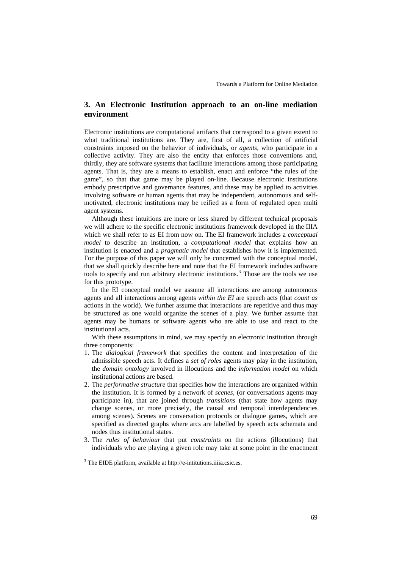## **3. An Electronic Institution approach to an on-line mediation environment**

Electronic institutions are computational artifacts that correspond to a given extent to what traditional institutions are. They are, first of all, a collection of artificial constraints imposed on the behavior of individuals, or *agents,* who participate in a collective activity. They are also the entity that enforces those conventions and, thirdly, they are software systems that facilitate interactions among those participating agents. That is, they are a means to establish, enact and enforce "the rules of the game", so that that game may be played on-line. Because electronic institutions embody prescriptive and governance features, and these may be applied to activities involving software or human agents that may be independent, autonomous and selfmotivated, electronic institutions may be reified as a form of regulated open multi agent systems.

Although these intuitions are more or less shared by different technical proposals we will adhere to the specific electronic institutions framework developed in the IIIA which we shall refer to as EI from now on. The EI framework includes a *conceptual model* to describe an institution, a *computational model* that explains how an institution is enacted and a *pragmatic model* that establishes how it is implemented. For the purpose of this paper we will only be concerned with the conceptual model, that we shall quickly describe here and note that the EI framework includes software tools to specify and run arbitrary electronic institutions.<sup>[3](#page-2-0)</sup> Those are the tools we use for this prototype.

In the EI conceptual model we assume all interactions are among autonomous agents and all interactions among agents *within the EI* are speech acts (that *count as* actions in the world). We further assume that interactions are repetitive and thus may be structured as one would organize the scenes of a play. We further assume that agents may be humans or software agents who are able to use and react to the institutional acts.

With these assumptions in mind, we may specify an electronic institution through three components:

- 1. The *dialogical framework* that specifies the content and interpretation of the admissible speech acts. It defines a *set of roles* agents may play in the institution, the *domain ontology* involved in illocutions and the *information model* on which institutional actions are based.
- 2. The *performative structure* that specifies how the interactions are organized within the institution. It is formed by a network of *scenes*, (or conversations agents may participate in), that are joined through *transitions* (that state how agents may change scenes, or more precisely, the causal and temporal interdependencies among scenes). Scenes are conversation protocols or dialogue games, which are specified as directed graphs where arcs are labelled by speech acts schemata and nodes thus institutional states.
- 3. The *rules of behaviour* that put *constraints* on the actions (illocutions) that individuals who are playing a given role may take at some point in the enactment

<span id="page-2-0"></span><sup>&</sup>lt;sup>3</sup> The EIDE platform, available at http://e-intitutions.iiiia.csic.es.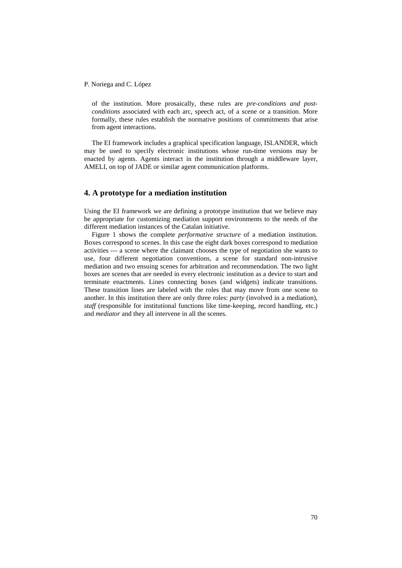of the institution. More prosaically, these rules are *pre-conditions and postconditions* associated with each arc, speech act, of a scene or a transition. More formally, these rules establish the normative positions of commitments that arise from agent interactions.

The EI framework includes a graphical specification language, ISLANDER, which may be used to specify electronic institutions whose run-time versions may be enacted by agents. Agents interact in the institution through a middleware layer, AMELI, on top of JADE or similar agent communication platforms.

### **4. A prototype for a mediation institution**

Using the EI framework we are defining a prototype institution that we believe may be appropriate for customizing mediation support environments to the needs of the different mediation instances of the Catalan initiative.

Figure 1 shows the complete *performative structure* of a mediation institution. Boxes correspond to scenes. In this case the eight dark boxes correspond to mediation activities --- a scene where the claimant chooses the type of negotiation she wants to use, four different negotiation conventions, a scene for standard non-intrusive mediation and two ensuing scenes for arbitration and recommendation. The two light boxes are scenes that are needed in every electronic institution as a device to start and terminate enactments. Lines connecting boxes (and widgets) indicate transitions. These transition lines are labeled with the roles that may move from one scene to another. In this institution there are only three roles: *party* (involved in a mediation), *staff* (responsible for institutional functions like time-keeping, record handling, etc.) and *mediator* and they all intervene in all the scenes.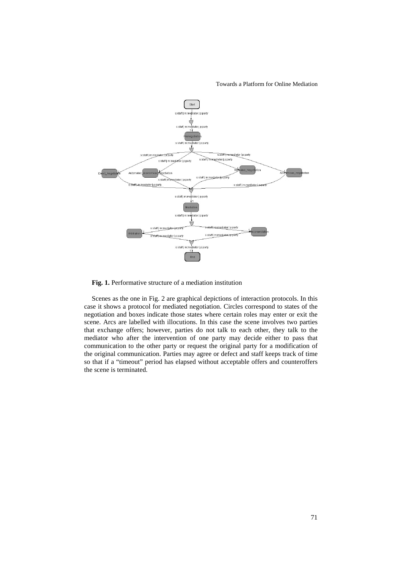Towards a Platform for Online Mediation



**Fig. 1.** Performative structure of a mediation institution

Scenes as the one in Fig. 2 are graphical depictions of interaction protocols. In this case it shows a protocol for mediated negotiation. Circles correspond to states of the negotiation and boxes indicate those states where certain roles may enter or exit the scene. Arcs are labelled with illocutions. In this case the scene involves two parties that exchange offers; however, parties do not talk to each other, they talk to the mediator who after the intervention of one party may decide either to pass that communication to the other party or request the original party for a modification of the original communication. Parties may agree or defect and staff keeps track of time so that if a "timeout" period has elapsed without acceptable offers and counteroffers the scene is terminated.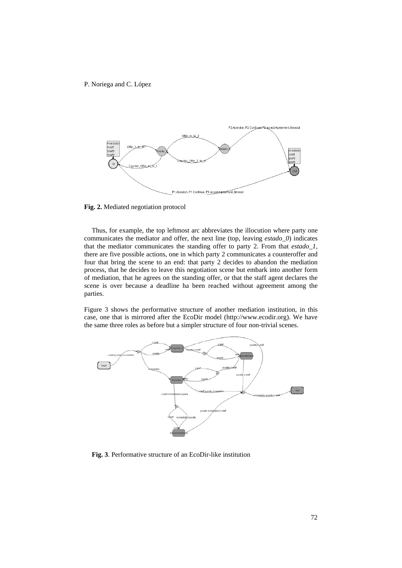

**Fig. 2.** Mediated negotiation protocol

Thus, for example, the top leftmost arc abbreviates the illocution where party one communicates the mediator and offer, the next line (top, leaving *estado\_0*) indicates that the mediator communicates the standing offer to party 2. From that *estado\_1*, there are five possible actions, one in which party 2 communicates a counteroffer and four that bring the scene to an end: that party 2 decides to abandon the mediation process, that he decides to leave this negotiation scene but embark into another form of mediation, that he agrees on the standing offer, or that the staff agent declares the scene is over because a deadline ha been reached without agreement among the parties.

Figure 3 shows the performative structure of another mediation institution, in this case, one that is mirrored after the EcoDir model (http://www.ecodir.org). We have the same three roles as before but a simpler structure of four non-trivial scenes.



**Fig. 3**. Performative structure of an EcoDir-like institution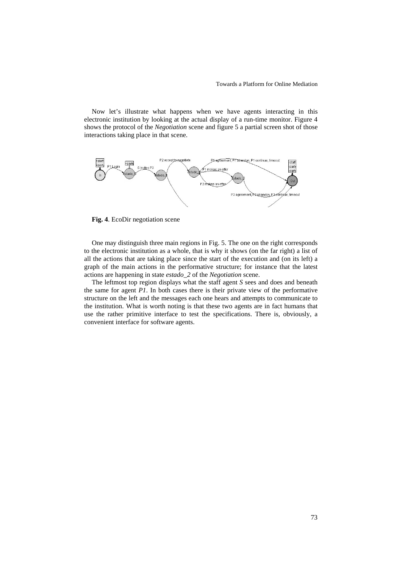Now let's illustrate what happens when we have agents interacting in this electronic institution by looking at the actual display of a run-time monitor. Figure 4 shows the protocol of the *Negotiation* scene and figure 5 a partial screen shot of those interactions taking place in that scene.



**Fig. 4**. EcoDir negotiation scene

One may distinguish three main regions in Fig. 5. The one on the right corresponds to the electronic institution as a whole, that is why it shows (on the far right) a list of all the actions that are taking place since the start of the execution and (on its left) a graph of the main actions in the performative structure; for instance that the latest actions are happening in state *estado\_2* of the *Negotiation* scene.

The leftmost top region displays what the staff agent *S* sees and does and beneath the same for agent *P1*. In both cases there is their private view of the performative structure on the left and the messages each one hears and attempts to communicate to the institution. What is worth noting is that these two agents are in fact humans that use the rather primitive interface to test the specifications. There is, obviously, a convenient interface for software agents.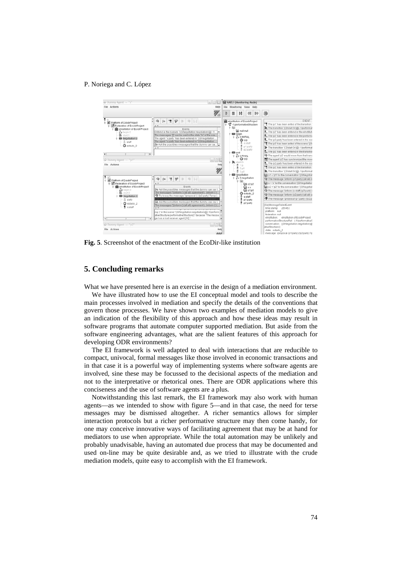

**Fig. 5**. Screenshot of the enactment of the EcoDir-like institution

## **5. Concluding remarks**

What we have presented here is an exercise in the design of a mediation environment.

We have illustrated how to use the EI conceptual model and tools to describe the main processes involved in mediation and specify the details of the conventions that govern those processes. We have shown two examples of mediation models to give an indication of the flexibility of this approach and how these ideas may result in software programs that automate computer supported mediation. But aside from the software engineering advantages, what are the salient features of this approach for developing ODR environments?

The EI framework is well adapted to deal with interactions that are reducible to compact, univocal, formal messages like those involved in economic transactions and in that case it is a powerful way of implementing systems where software agents are involved, sine these may be focussed to the decisional aspects of the mediation and not to the interpretative or rhetorical ones. There are ODR applications where this conciseness and the use of software agents are a plus.

Notwithstanding this last remark, the EI framework may also work with human agents—as we intended to show with figure 5—and in that case, the need for terse messages may be dismissed altogether. A richer semantics allows for simpler interaction protocols but a richer performative structure may then come handy, for one may conceive innovative ways of facilitating agreement that may be at hand for mediators to use when appropriate. While the total automation may be unlikely and probably unadvisable, having an automated due process that may be documented and used on-line may be quite desirable and, as we tried to illustrate with the crude mediation models, quite easy to accomplish with the EI framework.